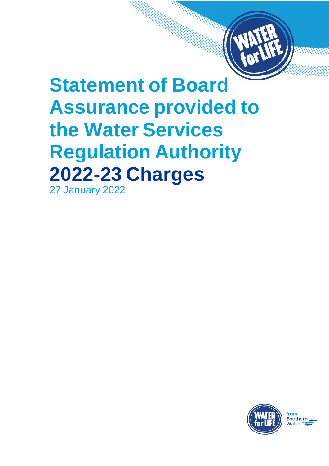# **Statement of Board Assurance provided to the Water Services Regulation Authority 2022-23 Charges**

**MARITARY REPORT** 

27 January 2022

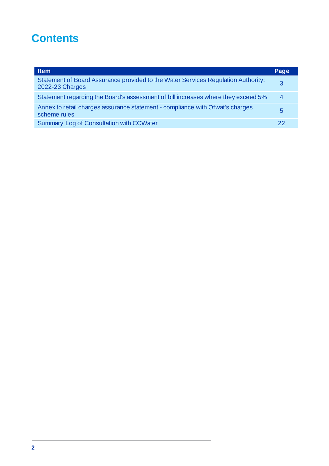## **Contents**

| <b>Item</b>                                                                                          | Page |
|------------------------------------------------------------------------------------------------------|------|
| Statement of Board Assurance provided to the Water Services Regulation Authority:<br>2022-23 Charges | 3    |
| Statement regarding the Board's assessment of bill increases where they exceed 5%                    | 4    |
| Annex to retail charges assurance statement - compliance with Of wat's charges<br>scheme rules       | 5    |
| <b>Summary Log of Consultation with CCWater</b>                                                      | 22   |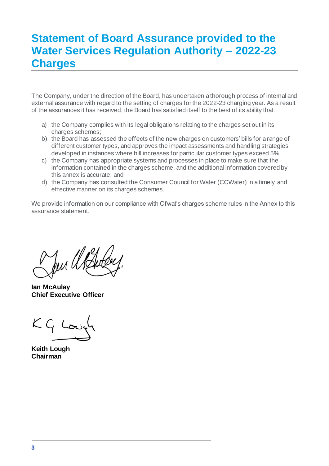## **Statement of Board Assurance provided to the Water Services Regulation Authority – 2022-23 Charges**

The Company, under the direction of the Board, has undertaken a thorough process of internal and external assurance with regard to the setting of charges for the 2022-23 charging year. As a result of the assurances it has received, the Board has satisfied itself to the best of its ability that:

- a) the Company complies with its legal obligations relating to the charges set out in its charges schemes:
- b) the Board has assessed the effects of the new charges on customers' bills for a range of different customer types, and approves the impact assessments and handling strategies developed in instances where bill increases for particular customer types exceed 5%;
- c) the Company has appropriate systems and processes in place to make sure that the information contained in the charges scheme, and the additional information covered by this annex is accurate; and
- d) the Company has consulted the Consumer Council for Water (CCWater) in a timely and effective manner on its charges schemes.

We provide information on our compliance with Ofwat's charges scheme rules in the Annex to this assurance statement.

fur U

**Ian McAulay Chief Executive Officer**

**Keith Lough Chairman**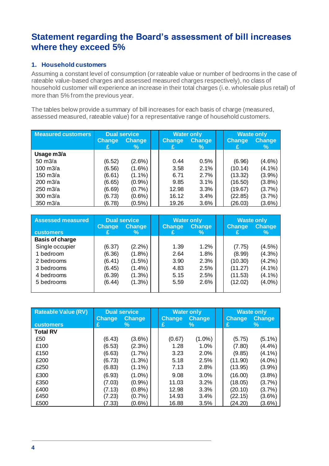## **Statement regarding the Board's assessment of bill increases where they exceed 5%**

#### **1. Household customers**

Assuming a constant level of consumption (or rateable value or number of bedrooms in the case of rateable value-based charges and assessed measured charges respectively), no class of household customer will experience an increase in their total charges (i.e. wholesale plus retail) of more than 5% from the previous year.

The tables below provide a summary of bill increases for each basis of charge (measured, assessed measured, rateable value) for a representative range of household customers.

| <b>Measured customers</b> | <b>Dual service</b> |               | <b>Water only</b> |               | <b>Waste only</b> |               |
|---------------------------|---------------------|---------------|-------------------|---------------|-------------------|---------------|
|                           | <b>Change</b>       | <b>Change</b> | <b>Change</b>     | <b>Change</b> | <b>Change</b>     | <b>Change</b> |
|                           |                     | ℅             | £                 | $\%$          |                   | %             |
| Usage m3/a                |                     |               |                   |               |                   |               |
| $50 \text{ m}$ $3/a$      | (6.52)              | $(2.6\%)$     | 0.44              | 0.5%          | (6.96)            | $(4.6\%)$     |
| $100 \text{ m}$ $3/a$     | (6.56)              | $(1.6\%)$     | 3.58              | 2.1%          | (10.14)           | $(4.1\%)$     |
| 150 m3/a                  | (6.61)              | $(1.1\%)$     | 6.71              | 2.7%          | (13.32)           | (3.9%)        |
| $200 \text{ m}$ $3/a$     | (6.65)              | (0.9%         | 9.85              | 3.1%          | (16.50)           | (3.8%)        |
| $250 \text{ m}$ $3/a$     | (6.69)              | $(0.7\%)$     | 12.98             | 3.3%          | (19.67)           | (3.7%)        |
| $300 \text{ m}$ $3/a$     | (6.73)              | $(0.6\%)$     | 16.12             | 3.4%          | (22.85)           | (3.7%)        |
| $350 \text{ m}$ $3/a$     | (6.78)              | $(0.5\%)$     | 19.26             | 3.6%          | (26.03)           | $(3.6\%)$     |

| <b>Assessed measured</b> | <b>Change</b> | <b>Dual service</b><br><b>Change</b> | <b>Change</b> | <b>Water only</b><br>Change | <b>Change</b> | <b>Waste only</b><br><b>Change</b> |
|--------------------------|---------------|--------------------------------------|---------------|-----------------------------|---------------|------------------------------------|
| <b>customers</b>         |               | %                                    | £             | ℅                           |               | %                                  |
| <b>Basis of charge</b>   |               |                                      |               |                             |               |                                    |
| Single occupier          | (6.37)        | $(2.2\%)$                            | 1.39          | 1.2%                        | (7.75)        | (4.5%)                             |
| 1 bedroom                | (6.36)        | $(1.8\%)$                            | 2.64          | 1.8%                        | (8.99)        | $(4.3\%)$                          |
| 2 bedrooms               | (6.41)        | $(1.5\%)$                            | 3.90          | 2.3%                        | (10.30)       | (4.2%)                             |
| 3 bedrooms               | (6.45)        | $(1.4\%)$                            | 4.83          | 2.5%                        | (11.27)       | $(4.1\%)$                          |
| 4 bedrooms               | (6.39)        | $(1.3\%)$                            | 5.15          | 2.5%                        | (11.53)       | $(4.1\%)$                          |
| 5 bedrooms               | (6.44)        | $(1.3\%)$                            | 5.59          | 2.6%                        | (12.02)       | $(4.0\%)$                          |
|                          |               |                                      |               |                             |               |                                    |

| <b>Rateable Value (RV)</b> | <b>Change</b> | <b>Dual service</b><br><b>Change</b> | <b>Change</b> | <b>Water only</b><br><b>Change</b> | Change  | <b>Waste only</b><br><b>Change</b> |
|----------------------------|---------------|--------------------------------------|---------------|------------------------------------|---------|------------------------------------|
| <b>customers</b>           | £             | $\%$                                 | £             | ℅                                  | £       | %                                  |
| Total RV                   |               |                                      |               |                                    |         |                                    |
| £50                        | (6.43)        | $(3.6\%)$                            | (0.67)        | $(1.0\%)$                          | (5.75)  | $(5.1\%)$                          |
| £100                       | (6.53)        | (2.3%)                               | 1.28          | 1.0%                               | (7.80)  | (4.4%)                             |
| £150                       | (6.63)        | $(1.7\%)$                            | 3.23          | 2.0%                               | (9.85)  | $(4.1\%)$                          |
| £200                       | (6.73)        | $(1.3\%)$                            | 5.18          | 2.5%                               | (11.90) | $(4.0\%)$                          |
| £250                       | (6.83)        | $(1.1\%)$                            | 7.13          | 2.8%                               | (13.95) | $(3.9\%)$                          |
| £300                       | (6.93)        | $(1.0\%)$                            | 9.08          | 3.0%                               | (16.00) | (3.8%)                             |
| £350                       | (7.03)        | (0.9%                                | 11.03         | 3.2%                               | (18.05) | (3.7%)                             |
| £400                       | (7.13)        | (0.8%                                | 12.98         | 3.3%                               | (20.10) | (3.7%)                             |
| £450                       | (7.23)        | (0.7%                                | 14.93         | 3.4%                               | (22.15) | $(3.6\%)$                          |
| £500                       | (7.33)        | (0.6%                                | 16.88         | 3.5%                               | (24.20) | $(3.6\%)$                          |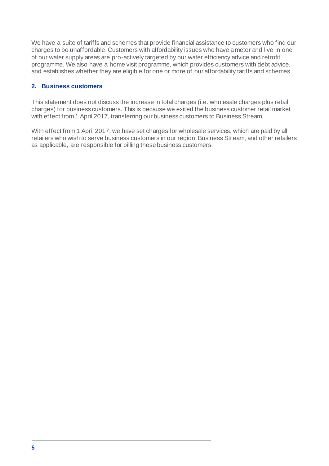We have a suite of tariffs and schemes that provide financial assistance to customers who find our charges to be unaffordable. Customers with affordability issues who have a meter and live in one of our water supply areas are pro-actively targeted by our water efficiency advice and retrofit programme. We also have a home visit programme, which provides customers with debt advice, and establishes whether they are eligible for one or more of our affordability tariffs and schemes.

#### **2. Business customers**

This statement does not discuss the increase in total charges (i.e. wholesale charges plus retail charges) for business customers. This is because we exited the business customer retail market with effect from 1 April 2017, transferring our business customers to Business Stream.

With effect from 1 April 2017, we have set charges for wholesale services, which are paid by all retailers who wish to serve business customers in our region. Business Stream, and other retailers as applicable, are responsible for billing these business customers.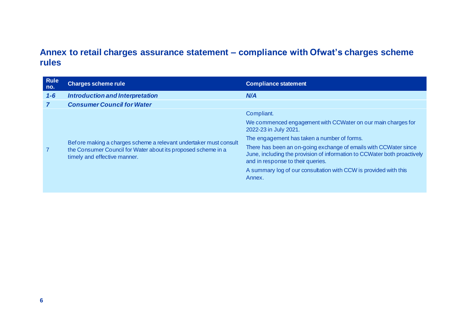### **Annex to retail charges assurance statement – compliance with Ofwat's charges scheme rules**

| <b>Rule</b><br>no. | <b>Charges scheme rule</b>                                                                                                                                         | <b>Compliance statement</b>                                                                                                                                                       |
|--------------------|--------------------------------------------------------------------------------------------------------------------------------------------------------------------|-----------------------------------------------------------------------------------------------------------------------------------------------------------------------------------|
| $1 - 6$            | Introduction and Interpretation                                                                                                                                    | N/A                                                                                                                                                                               |
|                    | <b>Consumer Council for Water</b>                                                                                                                                  |                                                                                                                                                                                   |
|                    |                                                                                                                                                                    | Compliant.                                                                                                                                                                        |
|                    | Before making a charges scheme a relevant undertaker must consult<br>the Consumer Council for Water about its proposed scheme in a<br>timely and effective manner. | We commenced engagement with CCWater on our main charges for<br>2022-23 in July 2021.                                                                                             |
|                    |                                                                                                                                                                    | The engagement has taken a number of forms.                                                                                                                                       |
|                    |                                                                                                                                                                    | There has been an on-going exchange of emails with CCWater since<br>June, including the provision of information to CCWater both proactively<br>and in response to their queries. |
|                    |                                                                                                                                                                    | A summary log of our consultation with CCW is provided with this<br>Annex.                                                                                                        |
|                    |                                                                                                                                                                    |                                                                                                                                                                                   |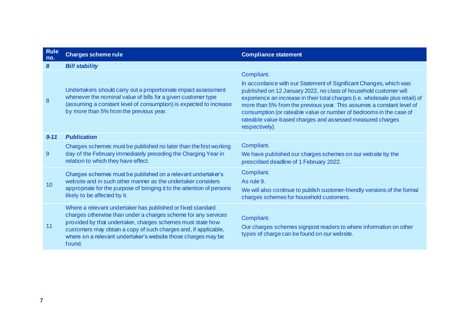| <b>Rule</b><br>no. | <b>Charges scheme rule</b>                                                                                                                                                                                                                                                                                                                 | <b>Compliance statement</b>                                                                                                                                                                                                                                                                                                                                                                                                                                            |
|--------------------|--------------------------------------------------------------------------------------------------------------------------------------------------------------------------------------------------------------------------------------------------------------------------------------------------------------------------------------------|------------------------------------------------------------------------------------------------------------------------------------------------------------------------------------------------------------------------------------------------------------------------------------------------------------------------------------------------------------------------------------------------------------------------------------------------------------------------|
| 8                  | <b>Bill stability</b>                                                                                                                                                                                                                                                                                                                      |                                                                                                                                                                                                                                                                                                                                                                                                                                                                        |
| 8                  | Undertakers should carry out a proportionate impact assessment<br>whenever the nominal value of bills for a given customer type<br>(assuming a constant level of consumption) is expected to increase<br>by more than 5% from the previous year.                                                                                           | Compliant.<br>In accordance with our Statement of Significant Changes, which was<br>published on 12 January 2022, no class of household customer will<br>experience an increase in their total charges (i.e. wholesale plus retail) of<br>more than 5% from the previous year. This assumes a constant level of<br>consumption (or rateable value or number of bedrooms in the case of<br>rateable value-based charges and assessed measured charges<br>respectively). |
| $9 - 11$           | <b>Publication</b>                                                                                                                                                                                                                                                                                                                         |                                                                                                                                                                                                                                                                                                                                                                                                                                                                        |
| 9                  | Charges schemes must be published no later than the first working<br>day of the February immediately preceding the Charging Year in<br>relation to which they have effect.                                                                                                                                                                 | Compliant.<br>We have published our charges schemes on our website by the<br>prescribed deadline of 1 February 2022.                                                                                                                                                                                                                                                                                                                                                   |
| 10 <sup>°</sup>    | Charges schemes must be published on a relevant undertaker's<br>website and in such other manner as the undertaker considers<br>appropriate for the purpose of bringing it to the attention of persons<br>likely to be affected by it.                                                                                                     | Compliant.<br>As rule 9.<br>We will also continue to publish customer-friendly versions of the formal<br>charges schemes for household customers.                                                                                                                                                                                                                                                                                                                      |
| 11                 | Where a relevant undertaker has published or fixed standard<br>charges otherwise than under a charges scheme for any services<br>provided by that undertaker, charges schemes must state how<br>customers may obtain a copy of such charges and, if applicable,<br>where on a relevant undertaker's website those charges may be<br>found. | Compliant.<br>Our charges schemes signpost readers to where information on other<br>types of charge can be found on our website.                                                                                                                                                                                                                                                                                                                                       |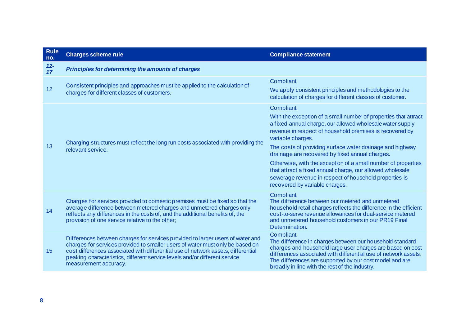| Rule<br>no.  | <b>Charges scheme rule</b>                                                                                                                                                                                                                                                                                                                                  | <b>Compliance statement</b>                                                                                                                                                                                                                                                                                          |  |  |
|--------------|-------------------------------------------------------------------------------------------------------------------------------------------------------------------------------------------------------------------------------------------------------------------------------------------------------------------------------------------------------------|----------------------------------------------------------------------------------------------------------------------------------------------------------------------------------------------------------------------------------------------------------------------------------------------------------------------|--|--|
| $12 -$<br>17 | Principles for determining the amounts of charges                                                                                                                                                                                                                                                                                                           |                                                                                                                                                                                                                                                                                                                      |  |  |
| 12           | Consistent principles and approaches must be applied to the calculation of                                                                                                                                                                                                                                                                                  | Compliant.<br>We apply consistent principles and methodologies to the                                                                                                                                                                                                                                                |  |  |
|              | charges for different classes of customers.                                                                                                                                                                                                                                                                                                                 | calculation of charges for different classes of customer.                                                                                                                                                                                                                                                            |  |  |
|              |                                                                                                                                                                                                                                                                                                                                                             | Compliant.                                                                                                                                                                                                                                                                                                           |  |  |
|              |                                                                                                                                                                                                                                                                                                                                                             | With the exception of a small number of properties that attract<br>a fixed annual charge, our allowed wholesale water supply<br>revenue in respect of household premises is recovered by<br>variable charges.                                                                                                        |  |  |
| 13           | Charging structures must reflect the long run costs associated with providing the<br>relevant service.                                                                                                                                                                                                                                                      | The costs of providing surface water drainage and highway<br>drainage are recovered by fixed annual charges.                                                                                                                                                                                                         |  |  |
|              |                                                                                                                                                                                                                                                                                                                                                             | Otherwise, with the exception of a small number of properties<br>that attract a fixed annual charge, our allowed wholesale<br>sewerage revenue in respect of household properties is<br>recovered by variable charges.                                                                                               |  |  |
| 14           | Charges for services provided to domestic premises must be fixed so that the<br>average difference between metered charges and unmetered charges only<br>reflects any differences in the costs of, and the additional benefits of, the<br>provision of one service relative to the other;                                                                   | Compliant.<br>The difference between our metered and unmetered<br>household retail charges reflects the difference in the efficient<br>cost-to-serve revenue allowances for dual-service metered<br>and unmetered household customers in our PR19 Final<br>Determination.                                            |  |  |
| 15           | Differences between charges for services provided to larger users of water and<br>charges for services provided to smaller users of water must only be based on<br>cost differences associated with differential use of network assets, differential<br>peaking characteristics, different service levels and/or different service<br>measurement accuracy. | Compliant.<br>The difference in charges between our household standard<br>charges and household large user charges are based on cost<br>differences associated with differential use of network assets.<br>The differences are supported by our cost model and are<br>broadly in line with the rest of the industry. |  |  |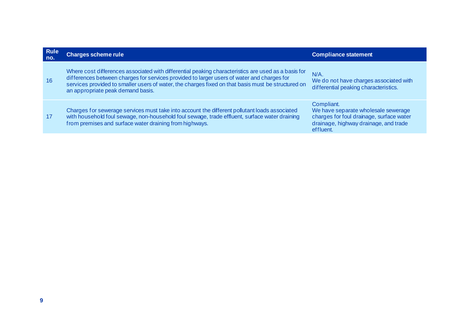| <b>Rule</b><br>no. | <b>Charges scheme rule</b>                                                                                                                                                                                                                                                                                                                   | <b>Compliance statement</b>                                                                                                                         |
|--------------------|----------------------------------------------------------------------------------------------------------------------------------------------------------------------------------------------------------------------------------------------------------------------------------------------------------------------------------------------|-----------------------------------------------------------------------------------------------------------------------------------------------------|
| 16                 | Where cost differences associated with differential peaking characteristics are used as a basis for<br>differences between charges for services provided to larger users of water and charges for<br>services provided to smaller users of water, the charges fixed on that basis must be structured on<br>an appropriate peak demand basis. | $N/A$ .<br>We do not have charges associated with<br>differential peaking characteristics.                                                          |
| 17                 | Charges for sewerage services must take into account the different pollutant loads associated<br>with household foul sewage, non-household foul sewage, trade effluent, surface water draining<br>from premises and surface water draining from highways.                                                                                    | Compliant.<br>We have separate wholesale sewerage<br>charges for foul drainage, surface water<br>drainage, highway drainage, and trade<br>effluent. |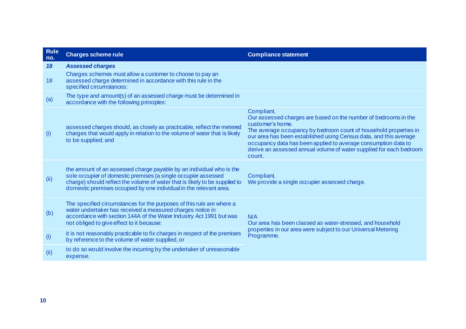| <b>Rule</b><br>no. | <b>Charges scheme rule</b>                                                                                                                                                                                                                                                                  | <b>Compliance statement</b>                                                                                                                                                                                                                                                                                                                                                                    |
|--------------------|---------------------------------------------------------------------------------------------------------------------------------------------------------------------------------------------------------------------------------------------------------------------------------------------|------------------------------------------------------------------------------------------------------------------------------------------------------------------------------------------------------------------------------------------------------------------------------------------------------------------------------------------------------------------------------------------------|
| 18                 | <b>Assessed charges</b>                                                                                                                                                                                                                                                                     |                                                                                                                                                                                                                                                                                                                                                                                                |
| 18                 | Charges schemes must allow a customer to choose to pay an<br>assessed charge determined in accordance with this rule in the<br>specified circumstances:                                                                                                                                     |                                                                                                                                                                                                                                                                                                                                                                                                |
| (a)                | The type and amount(s) of an assessed charge must be determined in<br>accordance with the following principles:                                                                                                                                                                             |                                                                                                                                                                                                                                                                                                                                                                                                |
| (i)                | assessed charges should, as closely as practicable, reflect the metered<br>charges that would apply in relation to the volume of water that is likely<br>to be supplied; and                                                                                                                | Compliant.<br>Our assessed charges are based on the number of bedrooms in the<br>customer's home.<br>The average occupancy by bedroom count of household properties in<br>our area has been established using Census data, and this average<br>occupancy data has been applied to average consumption data to<br>derive an assessed annual volume of water supplied for each bedroom<br>count. |
| (ii)               | the amount of an assessed charge payable by an individual who is the<br>sole occupier of domestic premises (a single occupier assessed<br>charge) should reflect the volume of water that is likely to be supplied to<br>domestic premises occupied by one individual in the relevant area. | Compliant.<br>We provide a single occupier assessed charge.                                                                                                                                                                                                                                                                                                                                    |
| (b)                | The specified circumstances for the purposes of this rule are where a<br>water undertaker has received a measured charges notice in<br>accordance with section 144A of the Water Industry Act 1991 but was<br>not obliged to give effect to it because:                                     | N/A<br>Our area has been classed as water-stressed, and household                                                                                                                                                                                                                                                                                                                              |
| (i)                | it is not reasonably practicable to fix charges in respect of the premises<br>by reference to the volume of water supplied, or                                                                                                                                                              | properties in our area were subject to our Universal Metering<br>Programme.                                                                                                                                                                                                                                                                                                                    |
| (ii)               | to do so would involve the incurring by the undertaker of unreasonable<br>expense.                                                                                                                                                                                                          |                                                                                                                                                                                                                                                                                                                                                                                                |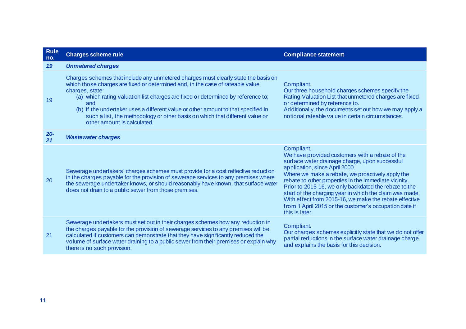| <b>Rule</b><br>no. | <b>Charges scheme rule</b>                                                                                                                                                                                                                                                                                                                                                                                                                                                             | <b>Compliance statement</b>                                                                                                                                                                                                                                                                                                                                                                                                                                                                                              |
|--------------------|----------------------------------------------------------------------------------------------------------------------------------------------------------------------------------------------------------------------------------------------------------------------------------------------------------------------------------------------------------------------------------------------------------------------------------------------------------------------------------------|--------------------------------------------------------------------------------------------------------------------------------------------------------------------------------------------------------------------------------------------------------------------------------------------------------------------------------------------------------------------------------------------------------------------------------------------------------------------------------------------------------------------------|
| 19                 | <b>Unmetered charges</b>                                                                                                                                                                                                                                                                                                                                                                                                                                                               |                                                                                                                                                                                                                                                                                                                                                                                                                                                                                                                          |
| 19                 | Charges schemes that include any unmetered charges must clearly state the basis on<br>which those charges are fixed or determined and, in the case of rateable value<br>charges, state:<br>(a) which rating valuation list charges are fixed or determined by reference to;<br>and<br>(b) if the undertaker uses a different value or other amount to that specified in<br>such a list, the methodology or other basis on which that different value or<br>other amount is calculated. | Compliant.<br>Our three household charges schemes specify the<br>Rating Valuation List that unmetered charges are fixed<br>or determined by reference to.<br>Additionally, the documents set out how we may apply a<br>notional rateable value in certain circumstances.                                                                                                                                                                                                                                                 |
| $20 -$<br>21       | <b>Wastewater charges</b>                                                                                                                                                                                                                                                                                                                                                                                                                                                              |                                                                                                                                                                                                                                                                                                                                                                                                                                                                                                                          |
| 20                 | Sewerage undertakers' charges schemes must provide for a cost reflective reduction<br>in the charges payable for the provision of sewerage services to any premises where<br>the sewerage undertaker knows, or should reasonably have known, that surface water<br>does not drain to a public sewer from those premises.                                                                                                                                                               | Compliant.<br>We have provided customers with a rebate of the<br>surface water drainage charge, upon successful<br>application, since April 2000.<br>Where we make a rebate, we proactively apply the<br>rebate to other properties in the immediate vicinity.<br>Prior to 2015-16, we only backdated the rebate to the<br>start of the charging year in which the claim was made.<br>With effect from 2015-16, we make the rebate effective<br>from 1 April 2015 or the customer's occupation date if<br>this is later. |
| 21                 | Sewerage undertakers must set out in their charges schemes how any reduction in<br>the charges payable for the provision of sewerage services to any premises will be<br>calculated if customers can demonstrate that they have significantly reduced the<br>volume of surface water draining to a public sewer from their premises or explain why<br>there is no such provision.                                                                                                      | Compliant.<br>Our charges schemes explicitly state that we do not offer<br>partial reductions in the surface water drainage charge<br>and explains the basis for this decision.                                                                                                                                                                                                                                                                                                                                          |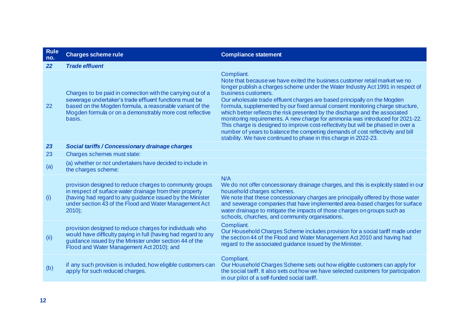| <b>Rule</b><br>no. | <b>Charges scheme rule</b>                                                                                                                                                                                                                              | <b>Compliance statement</b>                                                                                                                                                                                                                                                                                                                                                                                                                                                                                                                                                                                                                                                                                                                                                  |
|--------------------|---------------------------------------------------------------------------------------------------------------------------------------------------------------------------------------------------------------------------------------------------------|------------------------------------------------------------------------------------------------------------------------------------------------------------------------------------------------------------------------------------------------------------------------------------------------------------------------------------------------------------------------------------------------------------------------------------------------------------------------------------------------------------------------------------------------------------------------------------------------------------------------------------------------------------------------------------------------------------------------------------------------------------------------------|
| 22                 | <b>Trade effluent</b>                                                                                                                                                                                                                                   |                                                                                                                                                                                                                                                                                                                                                                                                                                                                                                                                                                                                                                                                                                                                                                              |
| 22                 | Charges to be paid in connection with the carrying out of a<br>sewerage undertaker's trade effluent functions must be<br>based on the Mogden formula, a reasonable variant of the<br>Mogden formula or on a demonstrably more cost reflective<br>basis. | Compliant.<br>Note that because we have exited the business customer retail market we no<br>longer publish a charges scheme under the Water Industry Act 1991 in respect of<br>business customers.<br>Our wholesale trade effluent charges are based principally on the Mogden<br>formula, supplemented by our fixed annual consent monitoring charge structure,<br>which better reflects the risk presented by the discharge and the associated<br>monitoring requirements. A new charge for ammonia was introduced for 2021-22.<br>This charge is designed to improve cost-reflectivity but will be phased in over a<br>number of years to balance the competing demands of cost reflectivity and bill<br>stability. We have continued to phase in this charge in 2022-23. |
| 23                 | Social tariffs / Concessionary drainage charges                                                                                                                                                                                                         |                                                                                                                                                                                                                                                                                                                                                                                                                                                                                                                                                                                                                                                                                                                                                                              |
| 23                 | Charges schemes must state:                                                                                                                                                                                                                             |                                                                                                                                                                                                                                                                                                                                                                                                                                                                                                                                                                                                                                                                                                                                                                              |
| (a)                | (a) whether or not undertakers have decided to include in<br>the charges scheme:                                                                                                                                                                        |                                                                                                                                                                                                                                                                                                                                                                                                                                                                                                                                                                                                                                                                                                                                                                              |
| (i)                | provision designed to reduce charges to community groups<br>in respect of surface water drainage from their property<br>(having had regard to any guidance issued by the Minister<br>under section 43 of the Flood and Water Management Act<br>$2010$ : | N/A<br>We do not offer concessionary drainage charges, and this is explicitly stated in our<br>household charges schemes.<br>We note that these concessionary charges are principally offered by those water<br>and sewerage companies that have implemented area-based charges for surface<br>water drainage to mitigate the impacts of those charges on groups such as<br>schools, churches, and community organisations.                                                                                                                                                                                                                                                                                                                                                  |
| (ii)               | provision designed to reduce charges for individuals who<br>would have difficulty paying in full (having had regard to any<br>guidance issued by the Minister under section 44 of the<br>Flood and Water Management Act 2010); and                      | Compliant.<br>Our Household Charges Scheme includes provision for a social tariff made under<br>the section 44 of the Flood and Water Management Act 2010 and having had<br>regard to the associated guidance issued by the Minister.                                                                                                                                                                                                                                                                                                                                                                                                                                                                                                                                        |
| (b)                | if any such provision is included, how eligible customers can<br>apply for such reduced charges.                                                                                                                                                        | Compliant.<br>Our Household Charges Scheme sets out how eligible customers can apply for<br>the social tariff. It also sets out how we have selected customers for participation<br>in our pilot of a self-funded social tariff.                                                                                                                                                                                                                                                                                                                                                                                                                                                                                                                                             |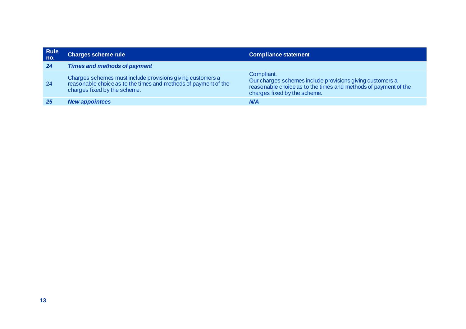| <b>Rule</b><br>no. | <b>Charges scheme rule</b>                                                                                                                                    | <b>Compliance statement</b>                                                                                                                                                |
|--------------------|---------------------------------------------------------------------------------------------------------------------------------------------------------------|----------------------------------------------------------------------------------------------------------------------------------------------------------------------------|
| 24                 | <b>Times and methods of payment</b>                                                                                                                           |                                                                                                                                                                            |
| 24                 | Charges schemes must include provisions giving customers a<br>reasonable choice as to the times and methods of payment of the<br>charges fixed by the scheme. | Compliant.<br>Our charges schemes include provisions giving customers a<br>reasonable choice as to the times and methods of payment of the<br>charges fixed by the scheme. |
|                    | <b>New appointees</b>                                                                                                                                         | <b>N/A</b>                                                                                                                                                                 |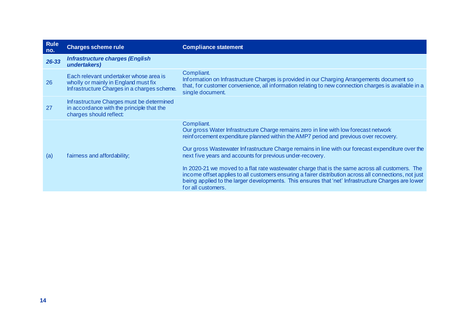| <b>Rule</b><br>no. | <b>Charges scheme rule</b>                                                                                                    | <b>Compliance statement</b>                                                                                                                                                                                                                                                                                                                                                                                                                                                                                                                                                                                                                                                                           |
|--------------------|-------------------------------------------------------------------------------------------------------------------------------|-------------------------------------------------------------------------------------------------------------------------------------------------------------------------------------------------------------------------------------------------------------------------------------------------------------------------------------------------------------------------------------------------------------------------------------------------------------------------------------------------------------------------------------------------------------------------------------------------------------------------------------------------------------------------------------------------------|
| 26-33              | <b>Infrastructure charges (English</b><br>undertakers)                                                                        |                                                                                                                                                                                                                                                                                                                                                                                                                                                                                                                                                                                                                                                                                                       |
| 26                 | Each relevant undertaker whose area is<br>wholly or mainly in England must fix<br>Infrastructure Charges in a charges scheme. | Compliant.<br>Information on Infrastructure Charges is provided in our Charging Arrangements document so<br>that, for customer convenience, all information relating to new connection charges is available in a<br>single document.                                                                                                                                                                                                                                                                                                                                                                                                                                                                  |
| 27                 | Infrastructure Charges must be determined<br>in accordance with the principle that the<br>charges should reflect:             |                                                                                                                                                                                                                                                                                                                                                                                                                                                                                                                                                                                                                                                                                                       |
| (a)                | fairness and affordability;                                                                                                   | Compliant.<br>Our gross Water Infrastructure Charge remains zero in line with low forecast network<br>reinforcement expenditure planned within the AMP7 period and previous over recovery.<br>Our gross Wastewater Infrastructure Charge remains in line with our forecast expenditure over the<br>next five years and accounts for previous under-recovery.<br>In 2020-21 we moved to a flat rate wastewater charge that is the same across all customers. The<br>income offset applies to all customers ensuring a fairer distribution across all connections, not just<br>being applied to the larger developments. This ensures that 'net' Infrastructure Charges are lower<br>for all customers. |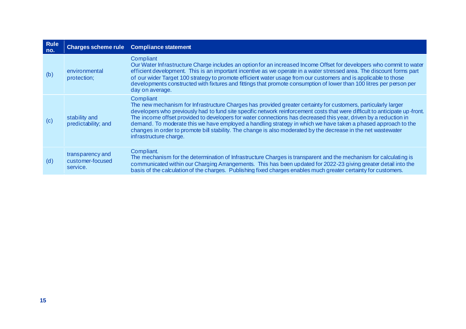| <b>Rule</b><br>no. |                                                  | Charges scheme rule Compliance statement                                                                                                                                                                                                                                                                                                                                                                                                                                                                                                                                                                                                    |
|--------------------|--------------------------------------------------|---------------------------------------------------------------------------------------------------------------------------------------------------------------------------------------------------------------------------------------------------------------------------------------------------------------------------------------------------------------------------------------------------------------------------------------------------------------------------------------------------------------------------------------------------------------------------------------------------------------------------------------------|
| (b)                | environmental<br>protection;                     | Compliant<br>Our Water Infrastructure Charge includes an option for an increased Income Offset for developers who commit to water<br>efficient development. This is an important incentive as we operate in a water stressed area. The discount forms part<br>of our wider Target 100 strategy to promote efficient water usage from our customers and is applicable to those<br>developments constructed with fixtures and fittings that promote consumption of lower than 100 litres per person per<br>day on average.                                                                                                                    |
| (c)                | stability and<br>predictability; and             | Compliant<br>The new mechanism for Infrastructure Charges has provided greater certainty for customers, particularly larger<br>developers who previously had to fund site specific network reinforcement costs that were difficult to anticipate up front.<br>The income offset provided to developers for water connections has decreased this year, driven by a reduction in<br>demand. To moderate this we have employed a handling strategy in which we have taken a phased approach to the<br>changes in order to promote bill stability. The change is also moderated by the decrease in the net wastewater<br>infrastructure charge. |
| (d)                | transparency and<br>customer-focused<br>service. | Compliant.<br>The mechanism for the determination of Infrastructure Charges is transparent and the mechanism for calculating is<br>communicated within our Charging Arrangements. This has been updated for 2022-23 giving greater detail into the<br>basis of the calculation of the charges. Publishing fixed charges enables much greater certainty for customers.                                                                                                                                                                                                                                                                       |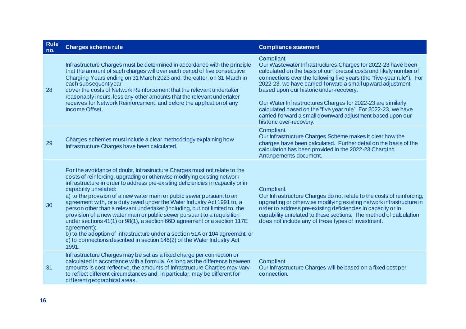| <b>Rule</b><br>no. | <b>Charges scheme rule</b>                                                                                                                                                                                                                                                                                                                                                                                                                                                                                                                                                                                                                                                                                                                                                                                                                    | <b>Compliance statement</b>                                                                                                                                                                                                                                                                                                                                                                                                                                                                                                                                  |  |
|--------------------|-----------------------------------------------------------------------------------------------------------------------------------------------------------------------------------------------------------------------------------------------------------------------------------------------------------------------------------------------------------------------------------------------------------------------------------------------------------------------------------------------------------------------------------------------------------------------------------------------------------------------------------------------------------------------------------------------------------------------------------------------------------------------------------------------------------------------------------------------|--------------------------------------------------------------------------------------------------------------------------------------------------------------------------------------------------------------------------------------------------------------------------------------------------------------------------------------------------------------------------------------------------------------------------------------------------------------------------------------------------------------------------------------------------------------|--|
| 28                 | Infrastructure Charges must be determined in accordance with the principle<br>that the amount of such charges will over each period of five consecutive<br>Charging Years ending on 31 March 2023 and, thereafter, on 31 March in<br>each subsequent year<br>cover the costs of Network Reinforcement that the relevant undertaker<br>reasonably incurs, less any other amounts that the relevant undertaker<br>receives for Network Reinforcement, and before the application of any<br>Income Offset.                                                                                                                                                                                                                                                                                                                                       | Compliant.<br>Our Wastewater Infrastructures Charges for 2022-23 have been<br>calculated on the basis of our forecast costs and likely number of<br>connections over the following five years (the "five-year rule"). For<br>2022-23, we have carried forward a small upward adjustment<br>based upon our historic under-recovery.<br>Our Water Infrastructures Charges for 2022-23 are similarly<br>calculated based on the "five year rule". For 2022-23, we have<br>carried forward a small downward adjustment based upon our<br>historic over-recovery. |  |
| 29                 | Charges schemes must include a clear methodology explaining how<br>Infrastructure Charges have been calculated.                                                                                                                                                                                                                                                                                                                                                                                                                                                                                                                                                                                                                                                                                                                               | Compliant.<br>Our Infrastructure Charges Scheme makes it clear how the<br>charges have been calculated. Further detail on the basis of the<br>calculation has been provided in the 2022-23 Charging<br>Arrangements document.                                                                                                                                                                                                                                                                                                                                |  |
| 30                 | For the avoidance of doubt, Infrastructure Charges must not relate to the<br>costs of reinforcing, upgrading or otherwise modifying existing network<br>infrastructure in order to address pre-existing deficiencies in capacity or in<br>capability unrelated:<br>a) to the provision of a new water main or public sewer pursuant to an<br>agreement with, or a duty owed under the Water Industry Act 1991 to, a<br>person other than a relevant undertaker (including, but not limited to, the<br>provision of a new water main or public sewer pursuant to a requisition<br>under sections 41(1) or 98(1), a section 66D agreement or a section 117E<br>agreement);<br>b) to the adoption of infrastructure under a section 51A or 104 agreement; or<br>c) to connections described in section 146(2) of the Water Industry Act<br>1991. | Compliant.<br>Our Infrastructure Charges do not relate to the costs of reinforcing,<br>upgrading or otherwise modifying existing network infrastructure in<br>order to address pre-existing deficiencies in capacity or in<br>capability unrelated to these sections. The method of calculation<br>does not include any of these types of investment.                                                                                                                                                                                                        |  |
| 31                 | Infrastructure Charges may be set as a fixed charge per connection or<br>calculated in accordance with a formula. As long as the difference between<br>amounts is cost-reflective, the amounts of Infrastructure Charges may vary<br>to reflect different circumstances and, in particular, may be different for<br>different geographical areas.                                                                                                                                                                                                                                                                                                                                                                                                                                                                                             | Compliant.<br>Our Infrastructure Charges will be based on a fixed cost per<br>connection.                                                                                                                                                                                                                                                                                                                                                                                                                                                                    |  |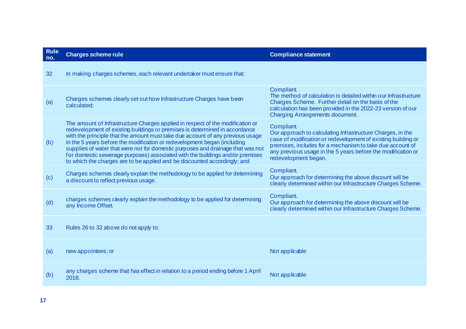| <b>Rule</b><br>no. | <b>Charges scheme rule</b>                                                                                                                                                                                                                                                                                                                                                                                                                                                                                                                                                   | <b>Compliance statement</b>                                                                                                                                                                                                                                                                    |
|--------------------|------------------------------------------------------------------------------------------------------------------------------------------------------------------------------------------------------------------------------------------------------------------------------------------------------------------------------------------------------------------------------------------------------------------------------------------------------------------------------------------------------------------------------------------------------------------------------|------------------------------------------------------------------------------------------------------------------------------------------------------------------------------------------------------------------------------------------------------------------------------------------------|
| 32                 | In making charges schemes, each relevant undertaker must ensure that:                                                                                                                                                                                                                                                                                                                                                                                                                                                                                                        |                                                                                                                                                                                                                                                                                                |
| (a)                | Charges schemes clearly set out how Infrastructure Charges have been<br>calculated;                                                                                                                                                                                                                                                                                                                                                                                                                                                                                          | Compliant.<br>The method of calculation is detailed within our Infrastructure<br>Charges Scheme. Further detail on the basis of the<br>calculation has been provided in the 2022-23 version of our<br><b>Charging Arrangements document.</b>                                                   |
| (b)                | The amount of Infrastructure Charges applied in respect of the modification or<br>redevelopment of existing buildings or premises is determined in accordance<br>with the principle that the amount must take due account of any previous usage<br>in the 5 years before the modification or redevelopment began (including<br>supplies of water that were not for domestic purposes and drainage that was not<br>for domestic sewerage purposes) associated with the buildings and/or premises<br>to which the charges are to be applied and be discounted accordingly; and | Compliant.<br>Our approach to calculating Infrastructure Charges, in the<br>case of modification or redevelopment of existing building or<br>premises, includes for a mechanism to take due account of<br>any previous usage in the 5 years before the modification or<br>redevelopment began. |
| (c)                | Charges schemes clearly explain the methodology to be applied for determining<br>a discount to reflect previous usage.                                                                                                                                                                                                                                                                                                                                                                                                                                                       | Compliant.<br>Our approach for determining the above discount will be<br>clearly determined within our Infrastructure Charges Scheme.                                                                                                                                                          |
| (d)                | charges schemes clearly explain the methodology to be applied for determining<br>any Income Offset.                                                                                                                                                                                                                                                                                                                                                                                                                                                                          | Compliant.<br>Our approach for determining the above discount will be<br>clearly determined within our Infrastructure Charges Scheme.                                                                                                                                                          |
| 33                 | Rules 26 to 32 above do not apply to:                                                                                                                                                                                                                                                                                                                                                                                                                                                                                                                                        |                                                                                                                                                                                                                                                                                                |
| (a)                | new appointees; or                                                                                                                                                                                                                                                                                                                                                                                                                                                                                                                                                           | Not applicable                                                                                                                                                                                                                                                                                 |
| (b)                | any charges scheme that has effect in relation to a period ending before 1 April<br>2018.                                                                                                                                                                                                                                                                                                                                                                                                                                                                                    | Not applicable                                                                                                                                                                                                                                                                                 |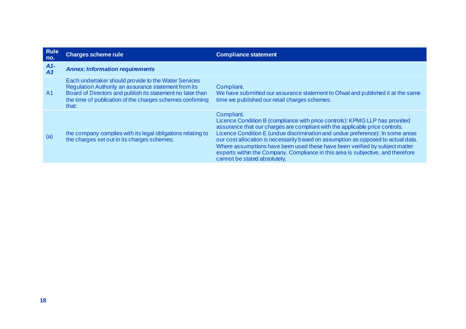| <b>Rule</b><br>no. | <b>Charges scheme rule</b>                                                                                                                                                                                                                       | <b>Compliance statement</b>                                                                                                                                                                                                                                                                                                                                                                                                                                                                                                                         |
|--------------------|--------------------------------------------------------------------------------------------------------------------------------------------------------------------------------------------------------------------------------------------------|-----------------------------------------------------------------------------------------------------------------------------------------------------------------------------------------------------------------------------------------------------------------------------------------------------------------------------------------------------------------------------------------------------------------------------------------------------------------------------------------------------------------------------------------------------|
| $A1-$<br>A3        | <b>Annex: Information requirements</b>                                                                                                                                                                                                           |                                                                                                                                                                                                                                                                                                                                                                                                                                                                                                                                                     |
| A <sub>1</sub>     | Each undertaker should provide to the Water Services<br>Regulation Authority an assurance statement from its<br>Board of Directors and publish its statement no later than<br>the time of publication of the charges schemes confirming<br>that: | Compliant.<br>We have submitted our assurance statement to Ofwat and published it at the same<br>time we published our retail charges schemes.                                                                                                                                                                                                                                                                                                                                                                                                      |
| (a)                | the company complies with its legal obligations relating to<br>the charges set out in its charges schemes;                                                                                                                                       | Compliant.<br>Licence Condition B (compliance with price controls): KPMG LLP has provided<br>assurance that our charges are compliant with the applicable price controls.<br>Licence Condition E (undue discrimination and undue preference): In some areas<br>our cost allocation is necessarily based on assumption as opposed to actual data.<br>Where assumptions have been used these have been verified by subject matter<br>experts within the Company. Compliance in this area is subjective, and therefore<br>cannot be stated absolutely. |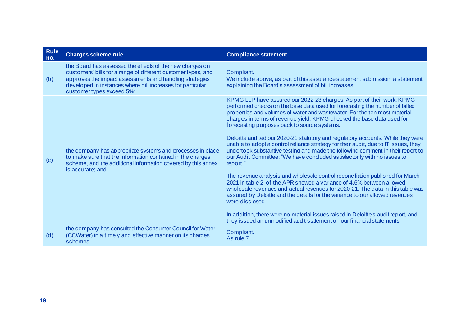| <b>Rule</b><br>no. | <b>Charges scheme rule</b>                                                                                                                                                                                                                                                      | <b>Compliance statement</b>                                                                                                                                                                                                                                                                                                                                                                                                                                                                                                                                                                                                                                                                                                                                                                                                                                                                                                                                                                                                                                                                                                                                                                                                     |
|--------------------|---------------------------------------------------------------------------------------------------------------------------------------------------------------------------------------------------------------------------------------------------------------------------------|---------------------------------------------------------------------------------------------------------------------------------------------------------------------------------------------------------------------------------------------------------------------------------------------------------------------------------------------------------------------------------------------------------------------------------------------------------------------------------------------------------------------------------------------------------------------------------------------------------------------------------------------------------------------------------------------------------------------------------------------------------------------------------------------------------------------------------------------------------------------------------------------------------------------------------------------------------------------------------------------------------------------------------------------------------------------------------------------------------------------------------------------------------------------------------------------------------------------------------|
| (b)                | the Board has assessed the effects of the new charges on<br>customers' bills for a range of different customer types, and<br>approves the impact assessments and handling strategies<br>developed in instances where bill increases for particular<br>customer types exceed 5%; | Compliant.<br>We include above, as part of this assurance statement submission, a statement<br>explaining the Board's assessment of bill increases                                                                                                                                                                                                                                                                                                                                                                                                                                                                                                                                                                                                                                                                                                                                                                                                                                                                                                                                                                                                                                                                              |
| (c)                | the company has appropriate systems and processes in place<br>to make sure that the information contained in the charges<br>scheme, and the additional information covered by this annex<br>is accurate; and                                                                    | KPMG LLP have assured our 2022-23 charges. As part of their work, KPMG<br>performed checks on the base data used for forecasting the number of billed<br>properties and volumes of water and wastewater. For the ten most material<br>charges in terms of revenue yield, KPMG checked the base data used for<br>forecasting purposes back to source systems.<br>Deloitte audited our 2020-21 statutory and regulatory accounts. While they were<br>unable to adopt a control reliance strategy for their audit, due to IT issues, they<br>undertook substantive testing and made the following comment in their report to<br>our Audit Committee: "We have concluded satisfactorily with no issues to<br>report."<br>The revenue analysis and wholesale control reconciliation published for March<br>2021 in table 2l of the APR showed a variance of 4.6% between allowed<br>wholesale revenues and actual revenues for 2020-21. The data in this table was<br>assured by Deloitte and the details for the variance to our allowed revenues<br>were disclosed.<br>In addition, there were no material issues raised in Deloitte's audit report, and<br>they issued an unmodified audit statement on our financial statements. |
| (d)                | the company has consulted the Consumer Council for Water<br>(CCWater) in a timely and effective manner on its charges<br>schemes.                                                                                                                                               | Compliant.<br>As rule 7.                                                                                                                                                                                                                                                                                                                                                                                                                                                                                                                                                                                                                                                                                                                                                                                                                                                                                                                                                                                                                                                                                                                                                                                                        |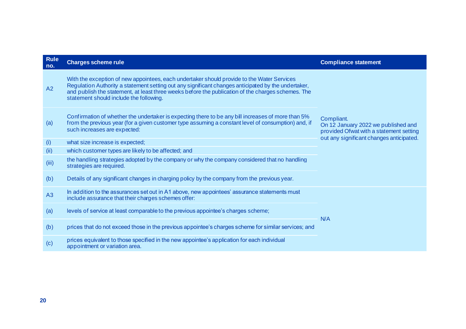| <b>Rule</b><br>no. | <b>Charges scheme rule</b>                                                                                                                                                                                                                                                                                                                         | <b>Compliance statement</b>                                                                                                              |
|--------------------|----------------------------------------------------------------------------------------------------------------------------------------------------------------------------------------------------------------------------------------------------------------------------------------------------------------------------------------------------|------------------------------------------------------------------------------------------------------------------------------------------|
| A2                 | With the exception of new appointees, each undertaker should provide to the Water Services<br>Regulation Authority a statement setting out any significant changes anticipated by the undertaker,<br>and publish the statement, at least three weeks before the publication of the charges schemes. The<br>statement should include the following. | Compliant.<br>On 12 January 2022 we published and<br>provided Ofwat with a statement setting<br>out any significant changes anticipated. |
| (a)                | Confirmation of whether the undertaker is expecting there to be any bill increases of more than 5%<br>from the previous year (for a given customer type assuming a constant level of consumption) and, if<br>such increases are expected:                                                                                                          |                                                                                                                                          |
| (i)                | what size increase is expected;                                                                                                                                                                                                                                                                                                                    |                                                                                                                                          |
| (ii)               | which customer types are likely to be affected; and                                                                                                                                                                                                                                                                                                |                                                                                                                                          |
| (iii)              | the handling strategies adopted by the company or why the company considered that no handling<br>strategies are required.                                                                                                                                                                                                                          |                                                                                                                                          |
| (b)                | Details of any significant changes in charging policy by the company from the previous year.                                                                                                                                                                                                                                                       |                                                                                                                                          |
| A3                 | In addition to the assurances set out in A1 above, new appointees' assurance statements must<br>include assurance that their charges schemes offer:                                                                                                                                                                                                |                                                                                                                                          |
| (a)                | levels of service at least comparable to the previous appointee's charges scheme;                                                                                                                                                                                                                                                                  | N/A                                                                                                                                      |
| (b)                | prices that do not exceed those in the previous appointee's charges scheme for similar services; and                                                                                                                                                                                                                                               |                                                                                                                                          |
| (c)                | prices equivalent to those specified in the new appointee's application for each individual<br>appointment or variation area.                                                                                                                                                                                                                      |                                                                                                                                          |